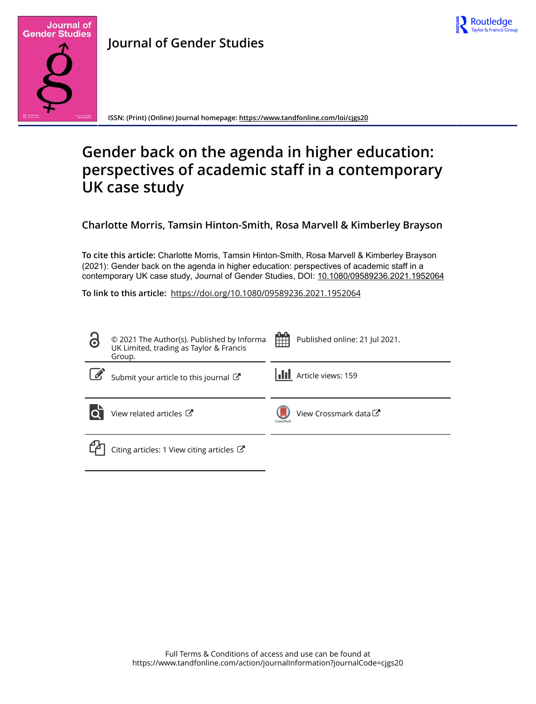



**Journal of Gender Studies**

**ISSN: (Print) (Online) Journal homepage:<https://www.tandfonline.com/loi/cjgs20>**

# **Gender back on the agenda in higher education: perspectives of academic staff in a contemporary UK case study**

**Charlotte Morris, Tamsin Hinton-Smith, Rosa Marvell & Kimberley Brayson**

**To cite this article:** Charlotte Morris, Tamsin Hinton-Smith, Rosa Marvell & Kimberley Brayson (2021): Gender back on the agenda in higher education: perspectives of academic staff in a contemporary UK case study, Journal of Gender Studies, DOI: [10.1080/09589236.2021.1952064](https://www.tandfonline.com/action/showCitFormats?doi=10.1080/09589236.2021.1952064)

**To link to this article:** <https://doi.org/10.1080/09589236.2021.1952064>

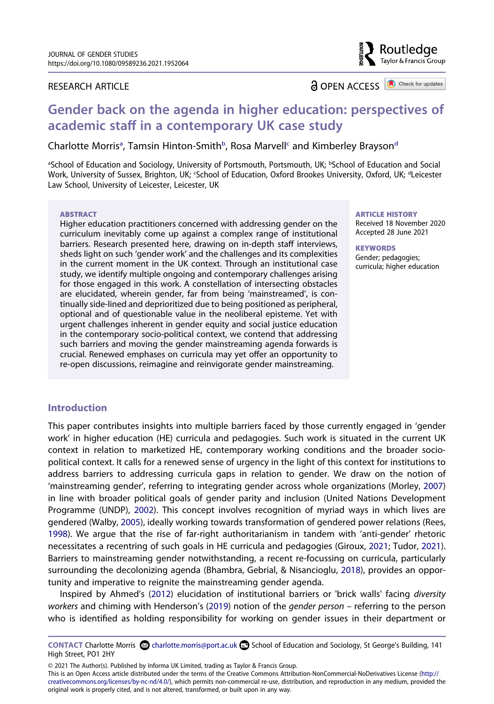# RESEARCH ARTICLE

**a** OPEN ACCESS **a** Check for updates

Routledae Taylor & Francis Group

# **Gender back on the agenda in higher education: perspectives of academic staff in a contemporary UK case study**

Ch[a](#page-1-0)rlotte Morris<sup>a</sup>, Tamsin Hinton-Smith<sup>b</sup>, Rosa Marvell<sup>c</sup> an[d](#page-1-1) Kimberley Brayson<sup>d</sup>

<span id="page-1-1"></span><span id="page-1-0"></span>aSchool of Education and Sociology, University of Portsmouth, Portsmouth, UK; bSchool of Education and Social Work, University of Sussex, Brighton, UK; 'School of Education, Oxford Brookes University, Oxford, UK; <sup>a</sup>Leicester Law School, University of Leicester, Leicester, UK

#### **ABSTRACT**

Higher education practitioners concerned with addressing gender on the curriculum inevitably come up against a complex range of institutional barriers. Research presented here, drawing on in-depth staff interviews, sheds light on such 'gender work' and the challenges and its complexities in the current moment in the UK context. Through an institutional case study, we identify multiple ongoing and contemporary challenges arising for those engaged in this work. A constellation of intersecting obstacles are elucidated, wherein gender, far from being 'mainstreamed', is continually side-lined and deprioritized due to being positioned as peripheral, optional and of questionable value in the neoliberal episteme. Yet with urgent challenges inherent in gender equity and social justice education in the contemporary socio-political context, we contend that addressing such barriers and moving the gender mainstreaming agenda forwards is crucial. Renewed emphases on curricula may yet offer an opportunity to re-open discussions, reimagine and reinvigorate gender mainstreaming.

#### **ARTICLE HISTORY**

Received 18 November 2020 Accepted 28 June 2021

**KEYWORDS**  Gender; pedagogies; curricula; higher education

# **Introduction**

<span id="page-1-8"></span><span id="page-1-6"></span>This paper contributes insights into multiple barriers faced by those currently engaged in 'gender work' in higher education (HE) curricula and pedagogies. Such work is situated in the current UK context in relation to marketized HE, contemporary working conditions and the broader sociopolitical context. It calls for a renewed sense of urgency in the light of this context for institutions to address barriers to addressing curricula gaps in relation to gender. We draw on the notion of 'mainstreaming gender', referring to integrating gender across whole organizations (Morley, [2007\)](#page-12-0) in line with broader political goals of gender parity and inclusion (United Nations Development Programme (UNDP), [2002](#page-13-0)). This concept involves recognition of myriad ways in which lives are gendered (Walby, [2005](#page-13-1)), ideally working towards transformation of gendered power relations (Rees, [1998\)](#page-13-2). We argue that the rise of far-right authoritarianism in tandem with 'anti-gender' rhetoric necessitates a recentring of such goals in HE curricula and pedagogies (Giroux, [2021;](#page-11-0) Tudor, [2021\)](#page-13-3). Barriers to mainstreaming gender notwithstanding, a recent re-focussing on curricula, particularly surrounding the decolonizing agenda (Bhambra, Gebrial, & Nisancioglu, [2018](#page-11-1)), provides an opportunity and imperative to reignite the mainstreaming gender agenda.

<span id="page-1-7"></span><span id="page-1-5"></span><span id="page-1-4"></span><span id="page-1-3"></span><span id="page-1-2"></span>Inspired by Ahmed's [\(2012\)](#page-11-2) elucidation of institutional barriers or 'brick walls' facing *diversity workers* and chiming with Henderson's [\(2019\)](#page-11-3) notion of the *gender person* – referring to the person who is identified as holding responsibility for working on gender issues in their department or

© 2021 The Author(s). Published by Informa UK Limited, trading as Taylor & Francis Group.

This is an Open Access article distributed under the terms of the Creative Commons Attribution-NonCommercial-NoDerivatives License (http:// creativecommons.org/licenses/by-nc-nd/4.0/), which permits non-commercial re-use, distribution, and reproduction in any medium, provided the original work is properly cited, and is not altered, transformed, or built upon in any way.

**CONTACT Charlotte Morris @ charlotte.morris@port.ac.uk <b>B** School of Education and Sociology, St George's Building, 141 High Street, PO1 2HY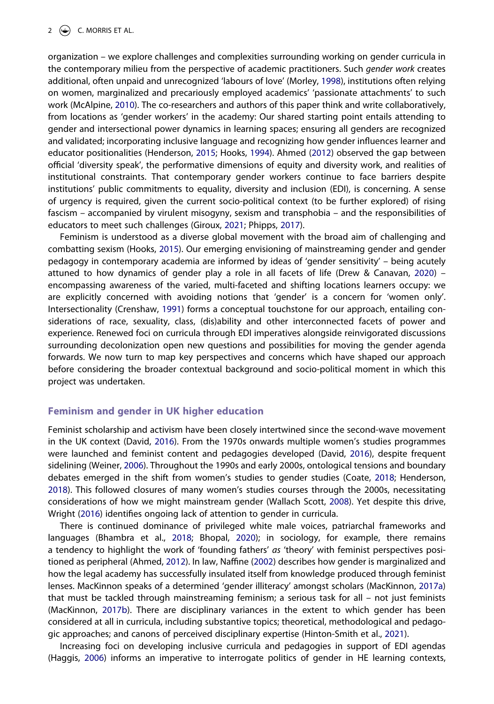<span id="page-2-11"></span><span id="page-2-10"></span>organization – we explore challenges and complexities surrounding working on gender curricula in the contemporary milieu from the perspective of academic practitioners. Such *gender work* creates additional, often unpaid and unrecognized 'labours of love' (Morley, [1998](#page-12-1)), institutions often relying on women, marginalized and precariously employed academics' 'passionate attachments' to such work (McAlpine, [2010](#page-12-2)). The co-researchers and authors of this paper think and write collaboratively, from locations as 'gender workers' in the academy: Our shared starting point entails attending to gender and intersectional power dynamics in learning spaces; ensuring all genders are recognized and validated; incorporating inclusive language and recognizing how gender influences learner and educator positionalities (Henderson, [2015](#page-11-4); Hooks, [1994](#page-12-3)). Ahmed [\(2012\)](#page-11-2) observed the gap between official 'diversity speak', the performative dimensions of equity and diversity work, and realities of institutional constraints. That contemporary gender workers continue to face barriers despite institutions' public commitments to equality, diversity and inclusion (EDI), is concerning. A sense of urgency is required, given the current socio-political context (to be further explored) of rising fascism – accompanied by virulent misogyny, sexism and transphobia – and the responsibilities of educators to meet such challenges (Giroux, [2021;](#page-11-0) Phipps, [2017\)](#page-12-4).

<span id="page-2-14"></span><span id="page-2-7"></span><span id="page-2-6"></span><span id="page-2-4"></span><span id="page-2-2"></span>Feminism is understood as a diverse global movement with the broad aim of challenging and combatting sexism (Hooks, [2015\)](#page-12-5). Our emerging envisioning of mainstreaming gender and gender pedagogy in contemporary academia are informed by ideas of 'gender sensitivity' – being acutely attuned to how dynamics of gender play a role in all facets of life (Drew & Canavan, [2020\)](#page-11-5) – encompassing awareness of the varied, multi-faceted and shifting locations learners occupy: we are explicitly concerned with avoiding notions that 'gender' is a concern for 'women only'. Intersectionality (Crenshaw, [1991](#page-11-6)) forms a conceptual touchstone for our approach, entailing considerations of race, sexuality, class, (dis)ability and other interconnected facets of power and experience. Renewed foci on curricula through EDI imperatives alongside reinvigorated discussions surrounding decolonization open new questions and possibilities for moving the gender agenda forwards. We now turn to map key perspectives and concerns which have shaped our approach before considering the broader contextual background and socio-political moment in which this project was undertaken.

# **Feminism and gender in UK higher education**

<span id="page-2-16"></span><span id="page-2-3"></span><span id="page-2-1"></span>Feminist scholarship and activism have been closely intertwined since the second-wave movement in the UK context (David, [2016\)](#page-11-7). From the 1970s onwards multiple women's studies programmes were launched and feminist content and pedagogies developed (David, [2016](#page-11-7)), despite frequent sidelining (Weiner, [2006](#page-13-4)). Throughout the 1990s and early 2000s, ontological tensions and boundary debates emerged in the shift from women's studies to gender studies (Coate, [2018;](#page-11-8) Henderson, [2018\)](#page-11-9). This followed closures of many women's studies courses through the 2000s, necessitating considerations of how we might mainstream gender (Wallach Scott, [2008\)](#page-13-5). Yet despite this drive, Wright [\(2016\)](#page-13-6) identifies ongoing lack of attention to gender in curricula.

<span id="page-2-17"></span><span id="page-2-15"></span><span id="page-2-13"></span><span id="page-2-8"></span><span id="page-2-0"></span>There is continued dominance of privileged white male voices, patriarchal frameworks and languages (Bhambra et al., [2018](#page-11-1); Bhopal, [2020](#page-11-10)); in sociology, for example, there remains a tendency to highlight the work of 'founding fathers' *as* 'theory' with feminist perspectives positioned as peripheral (Ahmed, [2012](#page-11-2)). In law, Naffine [\(2002\)](#page-12-6) describes how gender is marginalized and how the legal academy has successfully insulated itself from knowledge produced through feminist lenses. MacKinnon speaks of a determined 'gender illiteracy' amongst scholars (MacKinnon, [2017a\)](#page-12-7) that must be tackled through mainstreaming feminism; a serious task for all – not just feminists (MacKinnon, [2017b](#page-12-8)). There are disciplinary variances in the extent to which gender has been considered at all in curricula, including substantive topics; theoretical, methodological and pedagogic approaches; and canons of perceived disciplinary expertise (Hinton-Smith et al., [2021\)](#page-12-9).

<span id="page-2-12"></span><span id="page-2-9"></span><span id="page-2-5"></span>Increasing foci on developing inclusive curricula and pedagogies in support of EDI agendas (Haggis, [2006\)](#page-11-11) informs an imperative to interrogate politics of gender in HE learning contexts,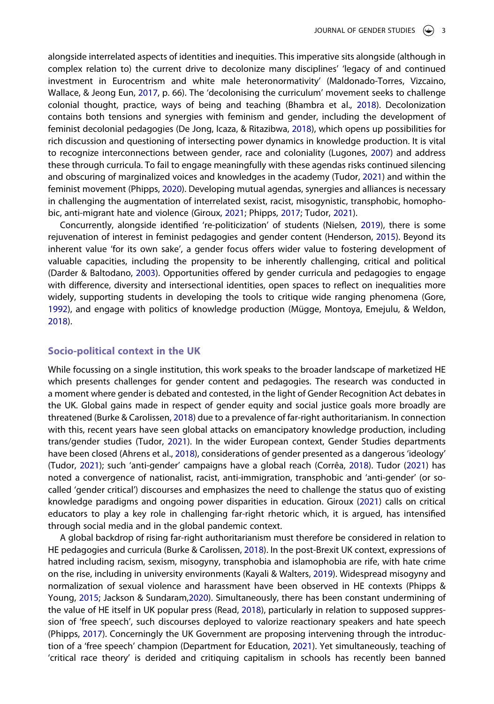<span id="page-3-10"></span><span id="page-3-4"></span>alongside interrelated aspects of identities and inequities. This imperative sits alongside (although in complex relation to) the current drive to decolonize many disciplines' 'legacy of and continued investment in Eurocentrism and white male heteronormativity' (Maldonado-Torres, Vizcaino, Wallace, & Jeong Eun, [2017,](#page-12-10) p. 66). The 'decolonising the curriculum' movement seeks to challenge colonial thought, practice, ways of being and teaching (Bhambra et al., [2018\)](#page-11-1). Decolonization contains both tensions and synergies with feminism and gender, including the development of feminist decolonial pedagogies (De Jong, Icaza, & Ritazibwa, [2018](#page-11-12)), which opens up possibilities for rich discussion and questioning of intersecting power dynamics in knowledge production. It is vital to recognize interconnections between gender, race and coloniality (Lugones, [2007\)](#page-12-11) and address these through curricula. To fail to engage meaningfully with these agendas risks continued silencing and obscuring of marginalized voices and knowledges in the academy (Tudor, [2021\)](#page-13-3) and within the feminist movement (Phipps, [2020\)](#page-12-12). Developing mutual agendas, synergies and alliances is necessary in challenging the augmentation of interrelated sexist, racist, misogynistic, transphobic, homophobic, anti-migrant hate and violence (Giroux, [2021](#page-11-0); Phipps, [2017](#page-12-4); Tudor, [2021\)](#page-13-3).

<span id="page-3-13"></span><span id="page-3-12"></span><span id="page-3-9"></span><span id="page-3-3"></span>Concurrently, alongside identified 're-politicization' of students (Nielsen, [2019](#page-12-13)), there is some rejuvenation of interest in feminist pedagogies and gender content (Henderson, [2015](#page-11-4)). Beyond its inherent value 'for its own sake', a gender focus offers wider value to fostering development of valuable capacities, including the propensity to be inherently challenging, critical and political (Darder & Baltodano, [2003](#page-11-13)). Opportunities offered by gender curricula and pedagogies to engage with difference, diversity and intersectional identities, open spaces to reflect on inequalities more widely, supporting students in developing the tools to critique wide ranging phenomena (Gore, [1992\)](#page-11-14), and engage with politics of knowledge production (Mügge, Montoya, Emejulu, & Weldon, [2018\)](#page-12-14).

# <span id="page-3-11"></span><span id="page-3-6"></span>**Socio-political context in the UK**

<span id="page-3-0"></span>While focussing on a single institution, this work speaks to the broader landscape of marketized HE which presents challenges for gender content and pedagogies. The research was conducted in a moment where gender is debated and contested, in the light of Gender Recognition Act debates in the UK. Global gains made in respect of gender equity and social justice goals more broadly are threatened (Burke & Carolissen, [2018\)](#page-11-15) due to a prevalence of far-right authoritarianism. In connection with this, recent years have seen global attacks on emancipatory knowledge production, including trans/gender studies (Tudor, [2021](#page-13-3)). In the wider European context, Gender Studies departments have been closed (Ahrens et al., [2018](#page-11-16)), considerations of gender presented as a dangerous 'ideology' (Tudor, [2021](#page-13-3)); such 'anti-gender' campaigns have a global reach (Corrêa, [2018](#page-11-17)). Tudor [\(2021\)](#page-13-3) has noted a convergence of nationalist, racist, anti-immigration, transphobic and 'anti-gender' (or socalled 'gender critical') discourses and emphasizes the need to challenge the status quo of existing knowledge paradigms and ongoing power disparities in education. Giroux [\(2021\)](#page-11-0) calls on critical educators to play a key role in challenging far-right rhetoric which, it is argued, has intensified through social media and in the global pandemic context.

<span id="page-3-14"></span><span id="page-3-8"></span><span id="page-3-7"></span><span id="page-3-5"></span><span id="page-3-2"></span><span id="page-3-1"></span>A global backdrop of rising far-right authoritarianism must therefore be considered in relation to HE pedagogies and curricula (Burke & Carolissen, [2018](#page-11-15)). In the post-Brexit UK context, expressions of hatred including racism, sexism, misogyny, transphobia and islamophobia are rife, with hate crime on the rise, including in university environments (Kayali & Walters, [2019](#page-12-15)). Widespread misogyny and normalization of sexual violence and harassment have been observed in HE contexts (Phipps & Young, [2015;](#page-12-16) Jackson & Sundaram,[2020](#page-12-17)). Simultaneously, there has been constant undermining of the value of HE itself in UK popular press (Read, [2018\)](#page-12-18), particularly in relation to supposed suppression of 'free speech', such discourses deployed to valorize reactionary speakers and hate speech (Phipps, [2017](#page-12-4)). Concerningly the UK Government are proposing intervening through the introduction of a 'free speech' champion (Department for Education, [2021\)](#page-11-18). Yet simultaneously, teaching of 'critical race theory' is derided and critiquing capitalism in schools has recently been banned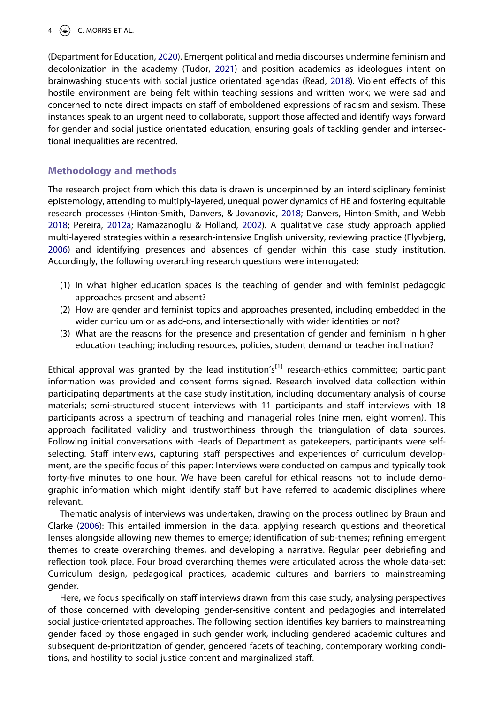<span id="page-4-2"></span>(Department for Education, [2020](#page-11-19)). Emergent political and media discourses undermine feminism and decolonization in the academy (Tudor, [2021](#page-13-3)) and position academics as ideologues intent on brainwashing students with social justice orientated agendas (Read, [2018\)](#page-12-18). Violent effects of this hostile environment are being felt within teaching sessions and written work; we were sad and concerned to note direct impacts on staff of emboldened expressions of racism and sexism. These instances speak to an urgent need to collaborate, support those affected and identify ways forward for gender and social justice orientated education, ensuring goals of tackling gender and intersectional inequalities are recentred.

# **Methodology and methods**

<span id="page-4-4"></span><span id="page-4-3"></span><span id="page-4-1"></span>The research project from which this data is drawn is underpinned by an interdisciplinary feminist epistemology, attending to multiply-layered, unequal power dynamics of HE and fostering equitable research processes (Hinton-Smith, Danvers, & Jovanovic, [2018;](#page-12-19) Danvers, Hinton-Smith, and Webb [2018;](#page-11-20) Pereira, [2012a](#page-12-20); Ramazanoglu & Holland, [2002\)](#page-12-21). A qualitative case study approach applied multi-layered strategies within a research-intensive English university, reviewing practice (Flyvbjerg, [2006\)](#page-11-21) and identifying presences and absences of gender within this case study institution. Accordingly, the following overarching research questions were interrogated:

- (1) In what higher education spaces is the teaching of gender and with feminist pedagogic approaches present and absent?
- (2) How are gender and feminist topics and approaches presented, including embedded in the wider curriculum or as add-ons, and intersectionally with wider identities or not?
- (3) What are the reasons for the presence and presentation of gender and feminism in higher education teaching; including resources, policies, student demand or teacher inclination?

Ethical approval was granted by the lead institution's<sup>[1]</sup> research-ethics committee; participant information was provided and consent forms signed. Research involved data collection within participating departments at the case study institution, including documentary analysis of course materials; semi-structured student interviews with 11 participants and staff interviews with 18 participants across a spectrum of teaching and managerial roles (nine men, eight women). This approach facilitated validity and trustworthiness through the triangulation of data sources. Following initial conversations with Heads of Department as gatekeepers, participants were selfselecting. Staff interviews, capturing staff perspectives and experiences of curriculum development, are the specific focus of this paper: Interviews were conducted on campus and typically took forty-five minutes to one hour. We have been careful for ethical reasons not to include demographic information which might identify staff but have referred to academic disciplines where relevant.

<span id="page-4-0"></span>Thematic analysis of interviews was undertaken, drawing on the process outlined by Braun and Clarke [\(2006](#page-11-22)): This entailed immersion in the data, applying research questions and theoretical lenses alongside allowing new themes to emerge; identification of sub-themes; refining emergent themes to create overarching themes, and developing a narrative. Regular peer debriefing and reflection took place. Four broad overarching themes were articulated across the whole data-set: Curriculum design, pedagogical practices, academic cultures and barriers to mainstreaming gender.

Here, we focus specifically on staff interviews drawn from this case study, analysing perspectives of those concerned with developing gender-sensitive content and pedagogies and interrelated social justice-orientated approaches. The following section identifies key barriers to mainstreaming gender faced by those engaged in such gender work, including gendered academic cultures and subsequent de-prioritization of gender, gendered facets of teaching, contemporary working conditions, and hostility to social justice content and marginalized staff.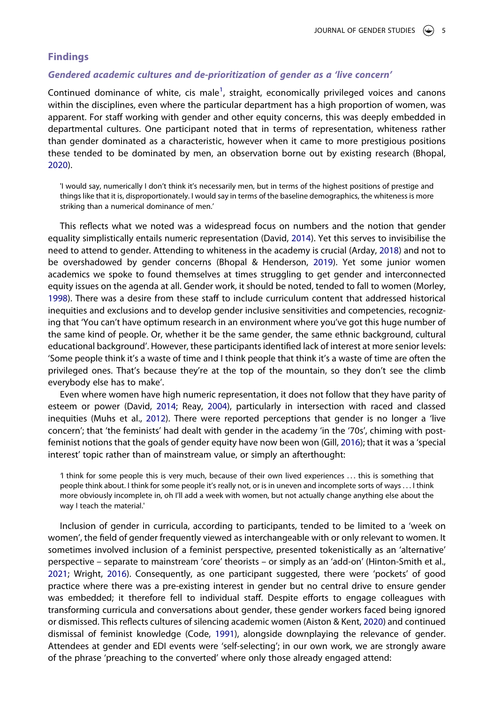# **Findings**

# *Gendered academic cultures and de-prioritization of gender as a 'live concern'*

Continued dominance of white, cis male<sup>[1](#page-10-0)</sup>, straight, economically privileged voices and canons within the disciplines, even where the particular department has a high proportion of women, was apparent. For staff working with gender and other equity concerns, this was deeply embedded in departmental cultures. One participant noted that in terms of representation, whiteness rather than gender dominated as a characteristic, however when it came to more prestigious positions these tended to be dominated by men, an observation borne out by existing research (Bhopal, [2020\)](#page-11-10).

'I would say, numerically I don't think it's necessarily men, but in terms of the highest positions of prestige and things like that it is, disproportionately. I would say in terms of the baseline demographics, the whiteness is more striking than a numerical dominance of men.'

<span id="page-5-2"></span><span id="page-5-1"></span>This reflects what we noted was a widespread focus on numbers and the notion that gender equality simplistically entails numeric representation (David, [2014\)](#page-11-23). Yet this serves to invisibilise the need to attend to gender. Attending to whiteness in the academy is crucial (Arday, [2018](#page-11-24)) and not to be overshadowed by gender concerns (Bhopal & Henderson, [2019\)](#page-11-25). Yet some junior women academics we spoke to found themselves at times struggling to get gender and interconnected equity issues on the agenda at all. Gender work, it should be noted, tended to fall to women (Morley, [1998\)](#page-12-1). There was a desire from these staff to include curriculum content that addressed historical inequities and exclusions and to develop gender inclusive sensitivities and competencies, recognizing that 'You can't have optimum research in an environment where you've got this huge number of the same kind of people. Or, whether it be the same gender, the same ethnic background, cultural educational background'. However, these participants identified lack of interest at more senior levels: 'Some people think it's a waste of time and I think people that think it's a waste of time are often the privileged ones. That's because they're at the top of the mountain, so they don't see the climb everybody else has to make'.

<span id="page-5-7"></span><span id="page-5-4"></span>Even where women have high numeric representation, it does not follow that they have parity of esteem or power (David, [2014;](#page-11-23) Reay, [2004\)](#page-13-7), particularly in intersection with raced and classed inequities (Muhs et al., [2012](#page-12-22)). There were reported perceptions that gender is no longer a 'live concern'; that 'the feminists' had dealt with gender in the academy 'in the '70s', chiming with postfeminist notions that the goals of gender equity have now been won (Gill, [2016\)](#page-11-26); that it was a 'special interest' topic rather than of mainstream value, or simply an afterthought:

<span id="page-5-5"></span>*'*I think for some people this is very much, because of their own lived experiences . . . this is something that people think about. I think for some people it's really not, or is in uneven and incomplete sorts of ways . . . I think more obviously incomplete in, oh I'll add a week with women, but not actually change anything else about the way I teach the material.'

<span id="page-5-6"></span><span id="page-5-3"></span><span id="page-5-0"></span>Inclusion of gender in curricula, according to participants, tended to be limited to a 'week on women', the field of gender frequently viewed as interchangeable with or only relevant to women. It sometimes involved inclusion of a feminist perspective, presented tokenistically as an 'alternative' perspective – separate to mainstream 'core' theorists – or simply as an 'add-on' (Hinton-Smith et al., [2021;](#page-11-27) Wright, [2016](#page-13-6)). Consequently, as one participant suggested, there were 'pockets' of good practice where there was a pre-existing interest in gender but no central drive to ensure gender was embedded; it therefore fell to individual staff. Despite efforts to engage colleagues with transforming curricula and conversations about gender, these gender workers faced being ignored or dismissed. This reflects cultures of silencing academic women (Aiston & Kent, [2020\)](#page-11-28) and continued dismissal of feminist knowledge (Code, [1991](#page-11-29)), alongside downplaying the relevance of gender. Attendees at gender and EDI events were 'self-selecting'; in our own work, we are strongly aware of the phrase 'preaching to the converted' where only those already engaged attend: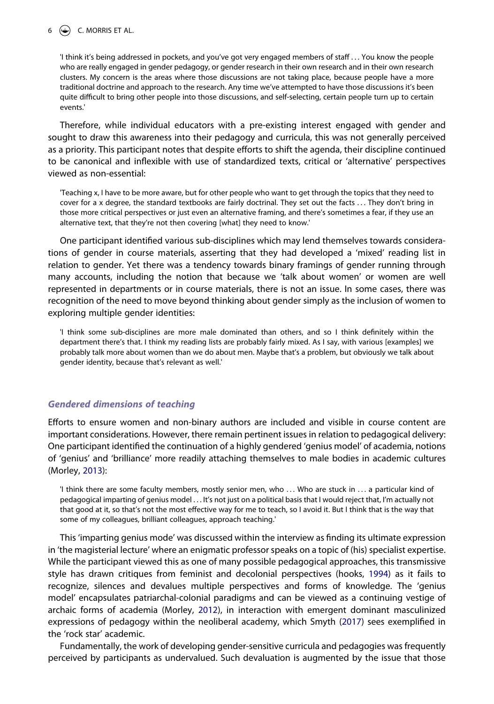#### $6 \quad \Leftrightarrow \quad$  C. MORRIS ET AL.

'I think it's being addressed in pockets, and you've got very engaged members of staff . . . You know the people who are really engaged in gender pedagogy, or gender research in their own research and in their own research clusters. My concern is the areas where those discussions are not taking place, because people have a more traditional doctrine and approach to the research. Any time we've attempted to have those discussions it's been quite difficult to bring other people into those discussions, and self-selecting, certain people turn up to certain events.'

Therefore, while individual educators with a pre-existing interest engaged with gender and sought to draw this awareness into their pedagogy and curricula, this was not generally perceived as a priority. This participant notes that despite efforts to shift the agenda, their discipline continued to be canonical and inflexible with use of standardized texts, critical or 'alternative' perspectives viewed as non-essential:

'Teaching x, I have to be more aware, but for other people who want to get through the topics that they need to cover for a x degree, the standard textbooks are fairly doctrinal. They set out the facts . . . They don't bring in those more critical perspectives or just even an alternative framing, and there's sometimes a fear, if they use an alternative text, that they're not then covering [what] they need to know.'

One participant identified various sub-disciplines which may lend themselves towards considerations of gender in course materials, asserting that they had developed a 'mixed' reading list in relation to gender. Yet there was a tendency towards binary framings of gender running through many accounts, including the notion that because we 'talk about women' or women are well represented in departments or in course materials, there is not an issue. In some cases, there was recognition of the need to move beyond thinking about gender simply as the inclusion of women to exploring multiple gender identities:

'I think some sub-disciplines are more male dominated than others, and so I think definitely within the department there's that. I think my reading lists are probably fairly mixed. As I say, with various [examples] we probably talk more about women than we do about men. Maybe that's a problem, but obviously we talk about gender identity, because that's relevant as well.'

# *Gendered dimensions of teaching*

Efforts to ensure women and non-binary authors are included and visible in course content are important considerations. However, there remain pertinent issues in relation to pedagogical delivery: One participant identified the continuation of a highly gendered 'genius model' of academia, notions of 'genius' and 'brilliance' more readily attaching themselves to male bodies in academic cultures (Morley, [2013](#page-12-23)):

<span id="page-6-1"></span>'I think there are some faculty members, mostly senior men, who ... Who are stuck in ... a particular kind of pedagogical imparting of genius model . . . It's not just on a political basis that I would reject that, I'm actually not that good at it, so that's not the most effective way for me to teach, so I avoid it. But I think that is the way that some of my colleagues, brilliant colleagues, approach teaching.'

This 'imparting genius mode' was discussed within the interview as finding its ultimate expression in 'the magisterial lecture' where an enigmatic professor speaks on a topic of (his) specialist expertise. While the participant viewed this as one of many possible pedagogical approaches, this transmissive style has drawn critiques from feminist and decolonial perspectives (hooks, [1994\)](#page-12-3) as it fails to recognize, silences and devalues multiple perspectives and forms of knowledge. The 'genius model' encapsulates patriarchal-colonial paradigms and can be viewed as a continuing vestige of archaic forms of academia (Morley, [2012\)](#page-12-24), in interaction with emergent dominant masculinized expressions of pedagogy within the neoliberal academy, which Smyth ([2017](#page-13-8)) sees exemplified in the 'rock star' academic.

<span id="page-6-2"></span><span id="page-6-0"></span>Fundamentally, the work of developing gender-sensitive curricula and pedagogies was frequently perceived by participants as undervalued. Such devaluation is augmented by the issue that those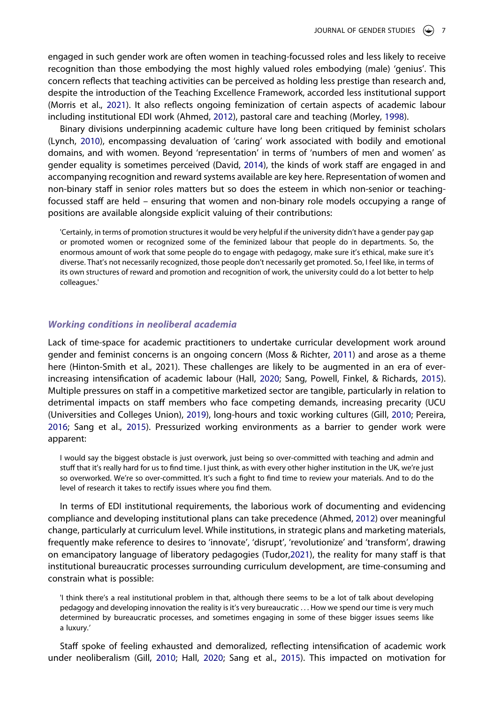engaged in such gender work are often women in teaching-focussed roles and less likely to receive recognition than those embodying the most highly valued roles embodying (male) 'genius'. This concern reflects that teaching activities can be perceived as holding less prestige than research and, despite the introduction of the Teaching Excellence Framework, accorded less institutional support (Morris et al., [2021](#page-12-9)). It also reflects ongoing feminization of certain aspects of academic labour including institutional EDI work (Ahmed, [2012\)](#page-11-2), pastoral care and teaching (Morley, [1998\)](#page-12-1).

<span id="page-7-1"></span>Binary divisions underpinning academic culture have long been critiqued by feminist scholars (Lynch, [2010\)](#page-12-25), encompassing devaluation of 'caring' work associated with bodily and emotional domains, and with women. Beyond 'representation' in terms of 'numbers of men and women' as gender equality is sometimes perceived (David, [2014](#page-11-23)), the kinds of work staff are engaged in and accompanying recognition and reward systems available are key here. Representation of women and non-binary staff in senior roles matters but so does the esteem in which non-senior or teachingfocussed staff are held – ensuring that women and non-binary role models occupying a range of positions are available alongside explicit valuing of their contributions:

'Certainly, in terms of promotion structures it would be very helpful if the university didn't have a gender pay gap or promoted women or recognized some of the feminized labour that people do in departments. So, the enormous amount of work that some people do to engage with pedagogy, make sure it's ethical, make sure it's diverse. That's not necessarily recognized, those people don't necessarily get promoted. So, I feel like, in terms of its own structures of reward and promotion and recognition of work, the university could do a lot better to help colleagues.'

# *Working conditions in neoliberal academia*

<span id="page-7-2"></span>Lack of time-space for academic practitioners to undertake curricular development work around gender and feminist concerns is an ongoing concern (Moss & Richter, [2011](#page-12-26)) and arose as a theme here (Hinton-Smith et al., 2021). These challenges are likely to be augmented in an era of everincreasing intensification of academic labour (Hall, [2020](#page-11-30); Sang, Powell, Finkel, & Richards, [2015\)](#page-13-9). Multiple pressures on staff in a competitive marketized sector are tangible, particularly in relation to detrimental impacts on staff members who face competing demands, increasing precarity (UCU (Universities and Colleges Union), [2019\)](#page-13-10), long-hours and toxic working cultures (Gill, [2010;](#page-11-31) Pereira, [2016;](#page-12-27) Sang et al., [2015\)](#page-13-9). Pressurized working environments as a barrier to gender work were apparent:

<span id="page-7-3"></span>I would say the biggest obstacle is just overwork, just being so over-committed with teaching and admin and stuff that it's really hard for us to find time. I just think, as with every other higher institution in the UK, we're just so overworked. We're so over-committed. It's such a fight to find time to review your materials. And to do the level of research it takes to rectify issues where you find them.

In terms of EDI institutional requirements, the laborious work of documenting and evidencing compliance and developing institutional plans can take precedence (Ahmed, [2012\)](#page-11-2) over meaningful change, particularly at curriculum level. While institutions, in strategic plans and marketing materials, frequently make reference to desires to 'innovate', 'disrupt', 'revolutionize' and 'transform', drawing on emancipatory language of liberatory pedagogies (Tudor,[2021](#page-13-3)), the reality for many staff is that institutional bureaucratic processes surrounding curriculum development, are time-consuming and constrain what is possible:

'I think there's a real institutional problem in that, although there seems to be a lot of talk about developing pedagogy and developing innovation the reality is it's very bureaucratic . . . How we spend our time is very much determined by bureaucratic processes, and sometimes engaging in some of these bigger issues seems like a luxury.*'*

<span id="page-7-0"></span>Staff spoke of feeling exhausted and demoralized, reflecting intensification of academic work under neoliberalism (Gill, [2010](#page-11-31); Hall, [2020;](#page-11-30) Sang et al., [2015](#page-13-9)). This impacted on motivation for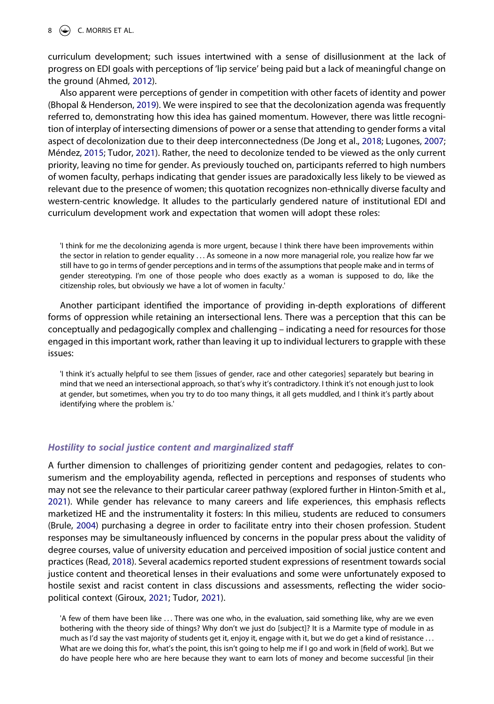curriculum development; such issues intertwined with a sense of disillusionment at the lack of progress on EDI goals with perceptions of 'lip service' being paid but a lack of meaningful change on the ground (Ahmed, [2012\)](#page-11-2).

<span id="page-8-1"></span>Also apparent were perceptions of gender in competition with other facets of identity and power (Bhopal & Henderson, [2019\)](#page-11-25). We were inspired to see that the decolonization agenda was frequently referred to, demonstrating how this idea has gained momentum. However, there was little recognition of interplay of intersecting dimensions of power or a sense that attending to gender forms a vital aspect of decolonization due to their deep interconnectedness (De Jong et al., [2018](#page-11-12); Lugones, [2007](#page-12-11); Méndez, [2015;](#page-12-28) Tudor, [2021](#page-13-3)). Rather, the need to decolonize tended to be viewed as the only current priority, leaving no time for gender. As previously touched on, participants referred to high numbers of women faculty, perhaps indicating that gender issues are paradoxically less likely to be viewed as relevant due to the presence of women; this quotation recognizes non-ethnically diverse faculty and western-centric knowledge. It alludes to the particularly gendered nature of institutional EDI and curriculum development work and expectation that women will adopt these roles:

'I think for me the decolonizing agenda is more urgent, because I think there have been improvements within the sector in relation to gender equality . . . As someone in a now more managerial role, you realize how far we still have to go in terms of gender perceptions and in terms of the assumptions that people make and in terms of gender stereotyping. I'm one of those people who does exactly as a woman is supposed to do, like the citizenship roles, but obviously we have a lot of women in faculty.'

Another participant identified the importance of providing in-depth explorations of different forms of oppression while retaining an intersectional lens. There was a perception that this can be conceptually and pedagogically complex and challenging – indicating a need for resources for those engaged in this important work, rather than leaving it up to individual lecturers to grapple with these issues:

'I think it's actually helpful to see them [issues of gender, race and other categories] separately but bearing in mind that we need an intersectional approach, so that's why it's contradictory. I think it's not enough just to look at gender, but sometimes, when you try to do too many things, it all gets muddled, and I think it's partly about identifying where the problem is.'

### *Hostility to social justice content and marginalized staff*

<span id="page-8-0"></span>A further dimension to challenges of prioritizing gender content and pedagogies, relates to consumerism and the employability agenda, reflected in perceptions and responses of students who may not see the relevance to their particular career pathway (explored further in Hinton-Smith et al., [2021\)](#page-11-27). While gender has relevance to many careers and life experiences, this emphasis reflects marketized HE and the instrumentality it fosters: In this milieu, students are reduced to consumers (Brule, [2004\)](#page-11-32) purchasing a degree in order to facilitate entry into their chosen profession. Student responses may be simultaneously influenced by concerns in the popular press about the validity of degree courses, value of university education and perceived imposition of social justice content and practices (Read, [2018\)](#page-12-18). Several academics reported student expressions of resentment towards social justice content and theoretical lenses in their evaluations and some were unfortunately exposed to hostile sexist and racist content in class discussions and assessments, reflecting the wider sociopolitical context (Giroux, [2021](#page-11-0); Tudor, [2021\)](#page-13-3).

'A few of them have been like ... There was one who, in the evaluation, said something like, why are we even bothering with the theory side of things? Why don't we just do [subject]? It is a Marmite type of module in as much as I'd say the vast majority of students get it, enjoy it, engage with it, but we do get a kind of resistance ... What are we doing this for, what's the point, this isn't going to help me if I go and work in [field of work]. But we do have people here who are here because they want to earn lots of money and become successful [in their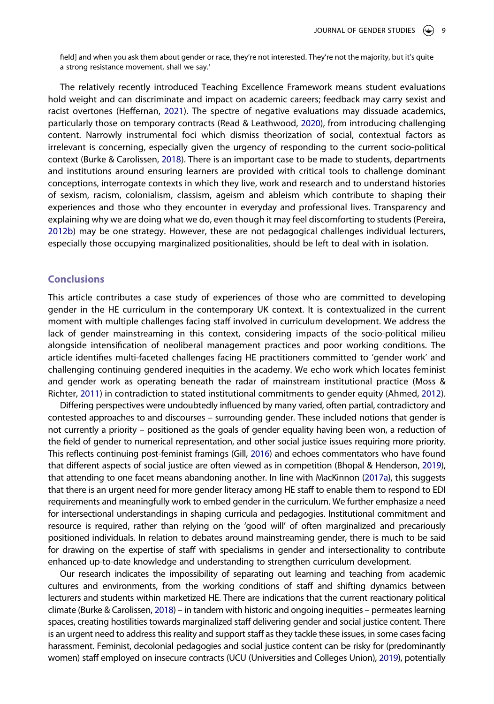field] and when you ask them about gender or race, they're not interested. They're not the majority, but it's quite a strong resistance movement, shall we say.'

<span id="page-9-2"></span><span id="page-9-0"></span>The relatively recently introduced Teaching Excellence Framework means student evaluations hold weight and can discriminate and impact on academic careers; feedback may carry sexist and racist overtones (Heffernan, [2021\)](#page-11-33). The spectre of negative evaluations may dissuade academics, particularly those on temporary contracts (Read & Leathwood, [2020](#page-12-29)), from introducing challenging content. Narrowly instrumental foci which dismiss theorization of social, contextual factors as irrelevant is concerning, especially given the urgency of responding to the current socio-political context (Burke & Carolissen, [2018\)](#page-11-15). There is an important case to be made to students, departments and institutions around ensuring learners are provided with critical tools to challenge dominant conceptions, interrogate contexts in which they live, work and research and to understand histories of sexism, racism, colonialism, classism, ageism and ableism which contribute to shaping their experiences and those who they encounter in everyday and professional lives. Transparency and explaining why we are doing what we do, even though it may feel discomforting to students (Pereira, [2012b\)](#page-12-30) may be one strategy. However, these are not pedagogical challenges individual lecturers, especially those occupying marginalized positionalities, should be left to deal with in isolation.

# <span id="page-9-1"></span>**Conclusions**

This article contributes a case study of experiences of those who are committed to developing gender in the HE curriculum in the contemporary UK context. It is contextualized in the current moment with multiple challenges facing staff involved in curriculum development. We address the lack of gender mainstreaming in this context, considering impacts of the socio-political milieu alongside intensification of neoliberal management practices and poor working conditions. The article identifies multi-faceted challenges facing HE practitioners committed to 'gender work' and challenging continuing gendered inequities in the academy. We echo work which locates feminist and gender work as operating beneath the radar of mainstream institutional practice (Moss & Richter, [2011\)](#page-12-26) in contradiction to stated institutional commitments to gender equity (Ahmed, [2012\)](#page-11-2).

Differing perspectives were undoubtedly influenced by many varied, often partial, contradictory and contested approaches to and discourses – surrounding gender. These included notions that gender is not currently a priority – positioned as the goals of gender equality having been won, a reduction of the field of gender to numerical representation, and other social justice issues requiring more priority. This reflects continuing post-feminist framings (Gill, [2016](#page-11-26)) and echoes commentators who have found that different aspects of social justice are often viewed as in competition (Bhopal & Henderson, [2019\)](#page-11-25), that attending to one facet means abandoning another. In line with MacKinnon [\(2017a\)](#page-12-7), this suggests that there is an urgent need for more gender literacy among HE staff to enable them to respond to EDI requirements and meaningfully work to embed gender in the curriculum. We further emphasize a need for intersectional understandings in shaping curricula and pedagogies. Institutional commitment and resource is required, rather than relying on the 'good will' of often marginalized and precariously positioned individuals. In relation to debates around mainstreaming gender, there is much to be said for drawing on the expertise of staff with specialisms in gender and intersectionality to contribute enhanced up-to-date knowledge and understanding to strengthen curriculum development.

Our research indicates the impossibility of separating out learning and teaching from academic cultures and environments, from the working conditions of staff and shifting dynamics between lecturers and students within marketized HE. There are indications that the current reactionary political climate (Burke & Carolissen, [2018](#page-11-15)) – in tandem with historic and ongoing inequities – permeates learning spaces, creating hostilities towards marginalized staff delivering gender and social justice content. There is an urgent need to address this reality and support staff as they tackle these issues, in some cases facing harassment. Feminist, decolonial pedagogies and social justice content can be risky for (predominantly women) staff employed on insecure contracts (UCU (Universities and Colleges Union), [2019\)](#page-13-10), potentially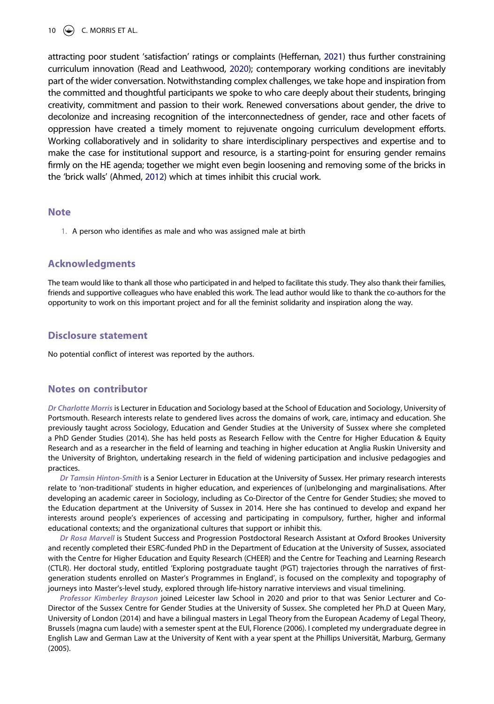<span id="page-10-1"></span>attracting poor student 'satisfaction' ratings or complaints (Heffernan, [2021](#page-11-33)) thus further constraining curriculum innovation (Read and Leathwood, [2020](#page-12-31)); contemporary working conditions are inevitably part of the wider conversation. Notwithstanding complex challenges, we take hope and inspiration from the committed and thoughtful participants we spoke to who care deeply about their students, bringing creativity, commitment and passion to their work. Renewed conversations about gender, the drive to decolonize and increasing recognition of the interconnectedness of gender, race and other facets of oppression have created a timely moment to rejuvenate ongoing curriculum development efforts. Working collaboratively and in solidarity to share interdisciplinary perspectives and expertise and to make the case for institutional support and resource, is a starting-point for ensuring gender remains firmly on the HE agenda; together we might even begin loosening and removing some of the bricks in the 'brick walls' (Ahmed, [2012\)](#page-11-2) which at times inhibit this crucial work.

#### <span id="page-10-0"></span>**Note**

1. A person who identifies as male and who was assigned male at birth

# **Acknowledgments**

The team would like to thank all those who participated in and helped to facilitate this study. They also thank their families, friends and supportive colleagues who have enabled this work. The lead author would like to thank the co-authors for the opportunity to work on this important project and for all the feminist solidarity and inspiration along the way.

# **Disclosure statement**

No potential conflict of interest was reported by the authors.

# **Notes on contributor**

*Dr Charlotte Morris* is Lecturer in Education and Sociology based at the School of Education and Sociology, University of Portsmouth. Research interests relate to gendered lives across the domains of work, care, intimacy and education. She previously taught across Sociology, Education and Gender Studies at the University of Sussex where she completed a PhD Gender Studies (2014). She has held posts as Research Fellow with the Centre for Higher Education & Equity Research and as a researcher in the field of learning and teaching in higher education at Anglia Ruskin University and the University of Brighton, undertaking research in the field of widening participation and inclusive pedagogies and practices.

*Dr Tamsin Hinton-Smith* is a Senior Lecturer in Education at the University of Sussex. Her primary research interests relate to 'non-traditional' students in higher education, and experiences of (un)belonging and marginalisations. After developing an academic career in Sociology, including as Co-Director of the Centre for Gender Studies; she moved to the Education department at the University of Sussex in 2014. Here she has continued to develop and expand her interests around people's experiences of accessing and participating in compulsory, further, higher and informal educational contexts; and the organizational cultures that support or inhibit this.

*Dr Rosa Marvell* is Student Success and Progression Postdoctoral Research Assistant at Oxford Brookes University and recently completed their ESRC-funded PhD in the Department of Education at the University of Sussex, associated with the Centre for Higher Education and Equity Research (CHEER) and the Centre for Teaching and Learning Research (CTLR). Her doctoral study, entitled 'Exploring postgraduate taught (PGT) trajectories through the narratives of firstgeneration students enrolled on Master's Programmes in England', is focused on the complexity and topography of journeys into Master's-level study, explored through life-history narrative interviews and visual timelining.

*Professor Kimberley Brayson* joined Leicester law School in 2020 and prior to that was Senior Lecturer and Co-Director of the Sussex Centre for Gender Studies at the University of Sussex. She completed her Ph.D at Queen Mary, University of London (2014) and have a bilingual masters in Legal Theory from the European Academy of Legal Theory, Brussels (magna cum laude) with a semester spent at the EUI, Florence (2006). I completed my undergraduate degree in English Law and German Law at the University of Kent with a year spent at the Phillips Universität, Marburg, Germany (2005).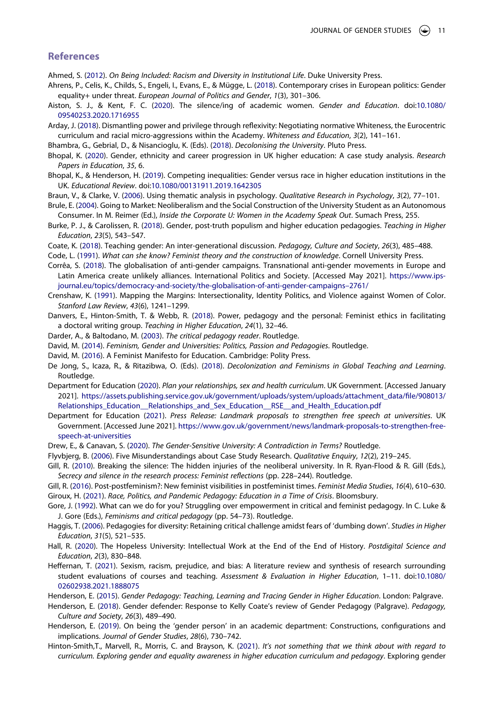# **References**

- <span id="page-11-2"></span>Ahmed, S. ([2012\)](#page-1-2). *On Being Included: Racism and Diversity in Institutional Life*. Duke University Press.
- <span id="page-11-16"></span>Ahrens, P., Celis, K., Childs, S., Engeli, I., Evans, E., & Mügge, L. [\(2018\)](#page-3-0). Contemporary crises in European politics: Gender equality+ under threat. *European Journal of Politics and Gender*, *1*(3), 301–306.
- <span id="page-11-28"></span>Aiston, S. J., & Kent, F. C. ([2020](#page-5-0)). The silence/ing of academic women. *Gender and Education*. doi:[10.1080/](https://doi.org/10.1080/09540253.2020.1716955) [09540253.2020.1716955](https://doi.org/10.1080/09540253.2020.1716955)
- <span id="page-11-24"></span>Arday, J. ([2018](#page-5-1)). Dismantling power and privilege through reflexivity: Negotiating normative Whiteness, the Eurocentric curriculum and racial micro-aggressions within the Academy. *Whiteness and Education*, *3*(2), 141–161.

<span id="page-11-1"></span>Bhambra, G., Gebrial, D., & Nisancioglu, K. (Eds). [\(2018\)](#page-1-3). *Decolonising the University*. Pluto Press.

- <span id="page-11-10"></span>Bhopal, K. [\(2020\)](#page-2-0). Gender, ethnicity and career progression in UK higher education: A case study analysis. *Research Papers in Education*, *35*, 6.
- <span id="page-11-25"></span>Bhopal, K., & Henderson, H. ([2019](#page-5-2)). Competing inequalities: Gender versus race in higher education institutions in the UK. *Educational Review*. doi:[10.1080/00131911.2019.1642305](https://doi.org/10.1080/00131911.2019.1642305)
- <span id="page-11-22"></span>Braun, V., & Clarke, V. ([2006](#page-4-0)). Using thematic analysis in psychology. *Qualitative Research in Psychology*, *3*(2), 77–101.
- <span id="page-11-32"></span>Brule, E. [\(2004\)](#page-8-0). Going to Market: Neoliberalism and the Social Construction of the University Student as an Autonomous Consumer. In M. Reimer (Ed.), *Inside the Corporate U: Women in the Academy Speak Out*. Sumach Press, 255.
- <span id="page-11-15"></span>Burke, P. J., & Carolissen, R. ([2018\)](#page-3-1). Gender, post-truth populism and higher education pedagogies. *Teaching in Higher Education*, *23*(5), 543–547.
- <span id="page-11-8"></span>Coate, K. ([2018](#page-2-1)). Teaching gender: An inter-generational discussion. *Pedagogy, Culture and Society*, *26*(3), 485–488.
- <span id="page-11-29"></span>Code, L. [\(1991\)](#page-5-3). *What can she know? Feminist theory and the construction of knowledge*. Cornell University Press.
- <span id="page-11-17"></span>Corrêa, S. [\(2018\)](#page-3-2). The globalisation of anti-gender campaigns. Transnational anti-gender movements in Europe and Latin America create unlikely alliances. International Politics and Society. [Accessed May 2021]. [https://www.ips](https://www.ips-journal.eu/topics/democracy-and-society/the-globalisation-of-anti-gender-campaigns%20132761/)[journal.eu/topics/democracy-and-society/the-globalisation-of-anti-gender-campaigns–2761/](https://www.ips-journal.eu/topics/democracy-and-society/the-globalisation-of-anti-gender-campaigns%20132761/)
- <span id="page-11-6"></span>Crenshaw, K. ([1991\)](#page-2-2). Mapping the Margins: Intersectionality, Identity Politics, and Violence against Women of Color. *Stanford Law Review*, *43*(6), 1241–1299.
- <span id="page-11-20"></span>Danvers, E., Hinton-Smith, T. & Webb, R. [\(2018\)](#page-4-1). Power, pedagogy and the personal: Feminist ethics in facilitating a doctoral writing group. *Teaching in Higher Education*, *24*(1), 32–46.
- <span id="page-11-13"></span>Darder, A., & Baltodano, M. [\(2003\)](#page-3-3). *The critical pedagogy reader*. Routledge.
- <span id="page-11-23"></span>David, M. ([2014](#page-5-4)). *Feminism, Gender and Universities: Politics, Passion and Pedagogies*. Routledge.
- <span id="page-11-7"></span>David, M. ([2016](#page-2-3)). A Feminist Manifesto for Education. Cambridge: Polity Press.
- <span id="page-11-12"></span>De Jong, S., Icaza, R., & Ritazibwa, O. (Eds). ([2018](#page-3-4)). *Decolonization and Feminisms in Global Teaching and Learning*. Routledge.
- <span id="page-11-19"></span>Department for Education ([2020](#page-4-2)). *Plan your relationships, sex and health curriculum*. UK Government. [Accessed January 2021]. [https://assets.publishing.service.gov.uk/government/uploads/system/uploads/attachment\\_data/file/908013/](https://assets.publishing.service.gov.uk/government/uploads/system/uploads/attachment_data/file/908013/Relationships_Education__Relationships_and_Sex_Education__RSE__and_Health_Education.pdf) Relationships\_Education \_Relationships\_and\_Sex\_Education\_RSE\_\_and\_Health\_Education.pdf
- <span id="page-11-18"></span>Department for Education ([2021](#page-3-5)). *Press Release: Landmark proposals to strengthen free speech at universities*. UK Government. [Accessed June 2021]. [https://www.gov.uk/government/news/landmark-proposals-to-strengthen-free](https://www.gov.uk/government/news/landmark-proposals-to-strengthen-free-speech-at-universities)[speech-at-universities](https://www.gov.uk/government/news/landmark-proposals-to-strengthen-free-speech-at-universities)
- <span id="page-11-5"></span>Drew, E., & Canavan, S. [\(2020\)](#page-2-4). *The Gender-Sensitive University: A Contradiction in Terms?* Routledge.
- <span id="page-11-21"></span>Flyvbjerg, B. [\(2006\)](#page-4-3). Five Misunderstandings about Case Study Research. *Qualitative Enquiry*, *12*(2), 219–245.
- <span id="page-11-31"></span>Gill, R. [\(2010\)](#page-7-0). Breaking the silence: The hidden injuries of the neoliberal university. In R. Ryan-Flood & R. Gill (Eds.), *Secrecy and silence in the research process: Feminist reflections* (pp. 228–244). Routledge.
- <span id="page-11-26"></span><span id="page-11-0"></span>Gill, R. [\(2016\)](#page-5-5). Post-postfeminism?: New feminist visibilities in postfeminist times. *Feminist Media Studies*, *16*(4), 610–630. Giroux, H. [\(2021\)](#page-1-4). *Race, Politics, and Pandemic Pedagogy: Education in a Time of Crisis*. Bloomsbury.
- <span id="page-11-14"></span>Gore, J. ([1992](#page-3-6)). What can we do for you? Struggling over empowerment in critical and feminist pedagogy. In C. Luke & J. Gore (Eds.), *Feminisms and critical pedagogy* (pp. 54–73). Routledge.
- <span id="page-11-11"></span>Haggis, T. [\(2006\)](#page-2-5). Pedagogies for diversity: Retaining critical challenge amidst fears of 'dumbing down'. *Studies in Higher Education*, *31*(5), 521–535.
- <span id="page-11-30"></span>Hall, R. [\(2020\)](#page-7-0). The Hopeless University: Intellectual Work at the End of the End of History. *Postdigital Science and Education*, *2*(3), 830–848.
- <span id="page-11-33"></span>Heffernan, T. [\(2021](#page-9-0)). Sexism, racism, prejudice, and bias: A literature review and synthesis of research surrounding student evaluations of courses and teaching. *Assessment & Evaluation in Higher Education*, 1–11. doi:[10.1080/](https://doi.org/10.1080/02602938.2021.1888075) [02602938.2021.1888075](https://doi.org/10.1080/02602938.2021.1888075)

<span id="page-11-4"></span>Henderson, E. ([2015](#page-2-6)). *Gender Pedagogy: Teaching, Learning and Tracing Gender in Higher Education*. London: Palgrave.

- <span id="page-11-9"></span>Henderson, E. ([2018](#page-2-1)). Gender defender: Response to Kelly Coate's review of Gender Pedagogy (Palgrave). *Pedagogy, Culture and Society*, *26*(3), 489–490.
- <span id="page-11-3"></span>Henderson, E. [\(2019\)](#page-1-5). On being the 'gender person' in an academic department: Constructions, configurations and implications. *Journal of Gender Studies*, *28*(6), 730–742.
- <span id="page-11-27"></span>Hinton-Smith,T., Marvell, R., Morris, C. and Brayson, K. ([2021](#page-5-6)). *It's not something that we think about with regard to curriculum. Exploring gender and equality awareness in higher education curriculum and pedagogy*. Exploring gender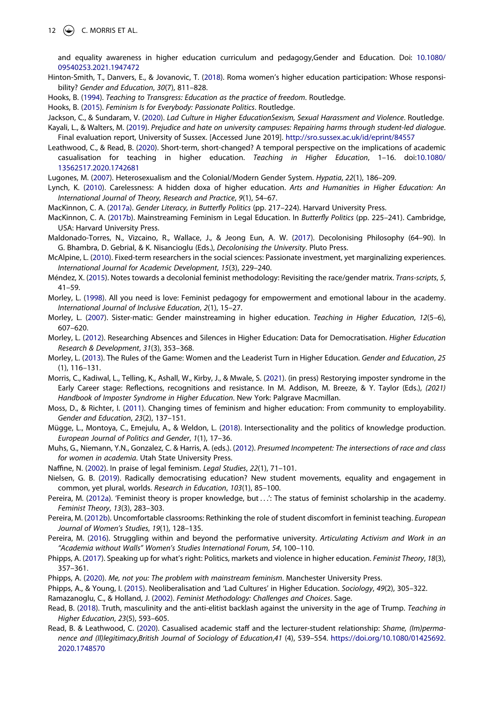12  $\left(\rightarrow\right)$  C. MORRIS ET AL.

and equality awareness in higher education curriculum and pedagogy,Gender and Education. Doi: [10.1080/](https://doi.org/10.1080/09540253.2021.1947472) [09540253.2021.1947472](https://doi.org/10.1080/09540253.2021.1947472)

- <span id="page-12-19"></span>Hinton-Smith, T., Danvers, E., & Jovanovic, T. ([2018](#page-4-1)). Roma women's higher education participation: Whose responsibility? *Gender and Education*, *30*(7), 811–828.
- <span id="page-12-3"></span>Hooks, B. [\(1994\)](#page-2-6). *Teaching to Transgress: Education as the practice of freedom*. Routledge.
- <span id="page-12-5"></span>Hooks, B. [\(2015\)](#page-2-7). *Feminism Is for Everybody: Passionate Politics*. Routledge.

<span id="page-12-17"></span><span id="page-12-15"></span>Jackson, C., & Sundaram, V. [\(2020\)](#page-3-7). *Lad Culture in Higher EducationSexism, Sexual Harassment and Violence*. Routledge. Kayali, L., & Walters, M. ([2019\)](#page-3-8). *Prejudice and hate on university campuses: Repairing harms through student-led dialogue*.

Final evaluation report, University of Sussex. [Accessed June 2019]. <http://sro.sussex.ac.uk/id/eprint/84557>

<span id="page-12-31"></span>Leathwood, C., & Read, B. [\(2020\)](#page-10-1). Short-term, short-changed? A temporal perspective on the implications of academic casualisation for teaching in higher education. *Teaching in Higher Education*, 1–16. doi:[10.1080/](https://doi.org/10.1080/13562517.2020.1742681) [13562517.2020.1742681](https://doi.org/10.1080/13562517.2020.1742681)

<span id="page-12-11"></span>Lugones, M. [\(2007\)](#page-3-9). Heterosexualism and the Colonial/Modern Gender System. *Hypatia*, *22*(1), 186–209.

- <span id="page-12-25"></span>Lynch, K. ([2010](#page-7-1)). Carelessness: A hidden doxa of higher education. *Arts and Humanities in Higher Education: An International Journal of Theory, Research and Practice*, *9*(1), 54–67.
- <span id="page-12-7"></span>MacKinnon, C. A. [\(2017a\)](#page-2-8). *Gender Literacy, in Butterfly Politics* (pp. 217–224). Harvard University Press.
- <span id="page-12-8"></span>MacKinnon, C. A. ([2017b\)](#page-2-9). Mainstreaming Feminism in Legal Education. In *Butterfly Politics* (pp. 225–241). Cambridge, USA: Harvard University Press.
- <span id="page-12-10"></span>Maldonado-Torres, N., Vizcaino, R., Wallace, J., & Jeong Eun, A. W. ([2017](#page-3-10)). Decolonising Philosophy (64–90). In G. Bhambra, D. Gebrial, & K. Nisancioglu (Eds.), *Decolonising the University*. Pluto Press.
- <span id="page-12-2"></span>McAlpine, L. ([2010\)](#page-2-10). Fixed-term researchers in the social sciences: Passionate investment, yet marginalizing experiences. *International Journal for Academic Development*, *15*(3), 229–240.
- <span id="page-12-28"></span>Méndez, X. ([2015\)](#page-8-1). Notes towards a decolonial feminist methodology: Revisiting the race/gender matrix. *Trans-scripts*, *5*, 41–59.
- <span id="page-12-1"></span>Morley, L. ([1998](#page-2-11)). All you need is love: Feminist pedagogy for empowerment and emotional labour in the academy. *International Journal of Inclusive Education*, *2*(1), 15–27.
- <span id="page-12-0"></span>Morley, L. ([2007](#page-1-6)). Sister-matic: Gender mainstreaming in higher education. *Teaching in Higher Education*, *12*(5–6), 607–620.
- <span id="page-12-24"></span>Morley, L. ([2012](#page-6-0)). Researching Absences and Silences in Higher Education: Data for Democratisation. *Higher Education Research & Development*, *31*(3), 353–368.
- <span id="page-12-23"></span>Morley, L. [\(2013\)](#page-6-1). The Rules of the Game: Women and the Leaderist Turn in Higher Education. *Gender and Education*, *25*  (1), 116–131.
- <span id="page-12-9"></span>Morris, C., Kadiwal, L., Telling, K., Ashall, W., Kirby, J., & Mwale, S. ([2021\)](#page-2-12). (in press) Restorying imposter syndrome in the Early Career stage: Reflections, recognitions and resistance. In M. Addison, M. Breeze, & Y. Taylor (Eds.), *(2021) Handbook of Imposter Syndrome in Higher Education*. New York: Palgrave Macmillan.
- <span id="page-12-26"></span>Moss, D., & Richter, I. [\(2011\)](#page-7-2). Changing times of feminism and higher education: From community to employability. *Gender and Education*, *23*(2), 137–151.
- <span id="page-12-14"></span>Mügge, L., Montoya, C., Emejulu, A., & Weldon, L. [\(2018\)](#page-3-11). Intersectionality and the politics of knowledge production. *European Journal of Politics and Gender*, *1*(1), 17–36.
- <span id="page-12-22"></span>Muhs, G., Niemann, Y.N., Gonzalez, C. & Harris, A. (eds.). [\(2012](#page-5-7)). *Presumed Incompetent: The intersections of race and class for women in academia*. Utah State University Press.
- <span id="page-12-6"></span>Naffine, N. [\(2002\)](#page-2-13). In praise of legal feminism. *Legal Studies*, *22*(1), 71–101.
- <span id="page-12-13"></span>Nielsen, G. B. ([2019](#page-3-12)). Radically democratising education? New student movements, equality and engagement in common, yet plural, worlds. *Research in Education*, *103*(1), 85–100.
- <span id="page-12-20"></span>Pereira, M. [\(2012a\)](#page-4-4). 'Feminist theory is proper knowledge, but ...': The status of feminist scholarship in the academy. *Feminist Theory*, *13*(3), 283–303.
- <span id="page-12-30"></span>Pereira, M. ([2012b\)](#page-9-1). Uncomfortable classrooms: Rethinking the role of student discomfort in feminist teaching. *European Journal of Women's Studies*, *19*(1), 128–135.
- <span id="page-12-27"></span>Pereira, M. ([2016](#page-7-3)). Struggling within and beyond the performative university. *Articulating Activism and Work in an "Academia without Walls" Women's Studies International Forum*, *54*, 100–110.
- <span id="page-12-4"></span>Phipps, A. ([2017](#page-2-14)). Speaking up for what's right: Politics, markets and violence in higher education. *Feminist Theory*, *18*(3), 357–361.
- <span id="page-12-12"></span>Phipps, A. ([2020](#page-3-13)). *Me, not you: The problem with mainstream feminism*. Manchester University Press.
- <span id="page-12-16"></span>Phipps, A., & Young, I. [\(2015\)](#page-3-7). Neoliberalisation and 'Lad Cultures' in Higher Education. *Sociology*, *49*(2), 305–322.

<span id="page-12-21"></span>Ramazanoglu, C., & Holland, J. ([2002](#page-4-4)). *Feminist Methodology: Challenges and Choices*. Sage.

- <span id="page-12-18"></span>Read, B. [\(2018\)](#page-3-14). Truth, masculinity and the anti-elitist backlash against the university in the age of Trump. *Teaching in Higher Education*, *23*(5), 593–605.
- <span id="page-12-29"></span>Read, B. & Leathwood, C. ([2020](#page-9-2)). Casualised academic staff and the lecturer-student relationship: *Shame, (Im)permanence and (Il)legitimacy*,*British Journal of Sociology of Education*,*41* (4), 539–554. [https://doi.org/10.1080/01425692.](https://doi.org/10.1080/01425692.2020.1748570) [2020.1748570](https://doi.org/10.1080/01425692.2020.1748570)